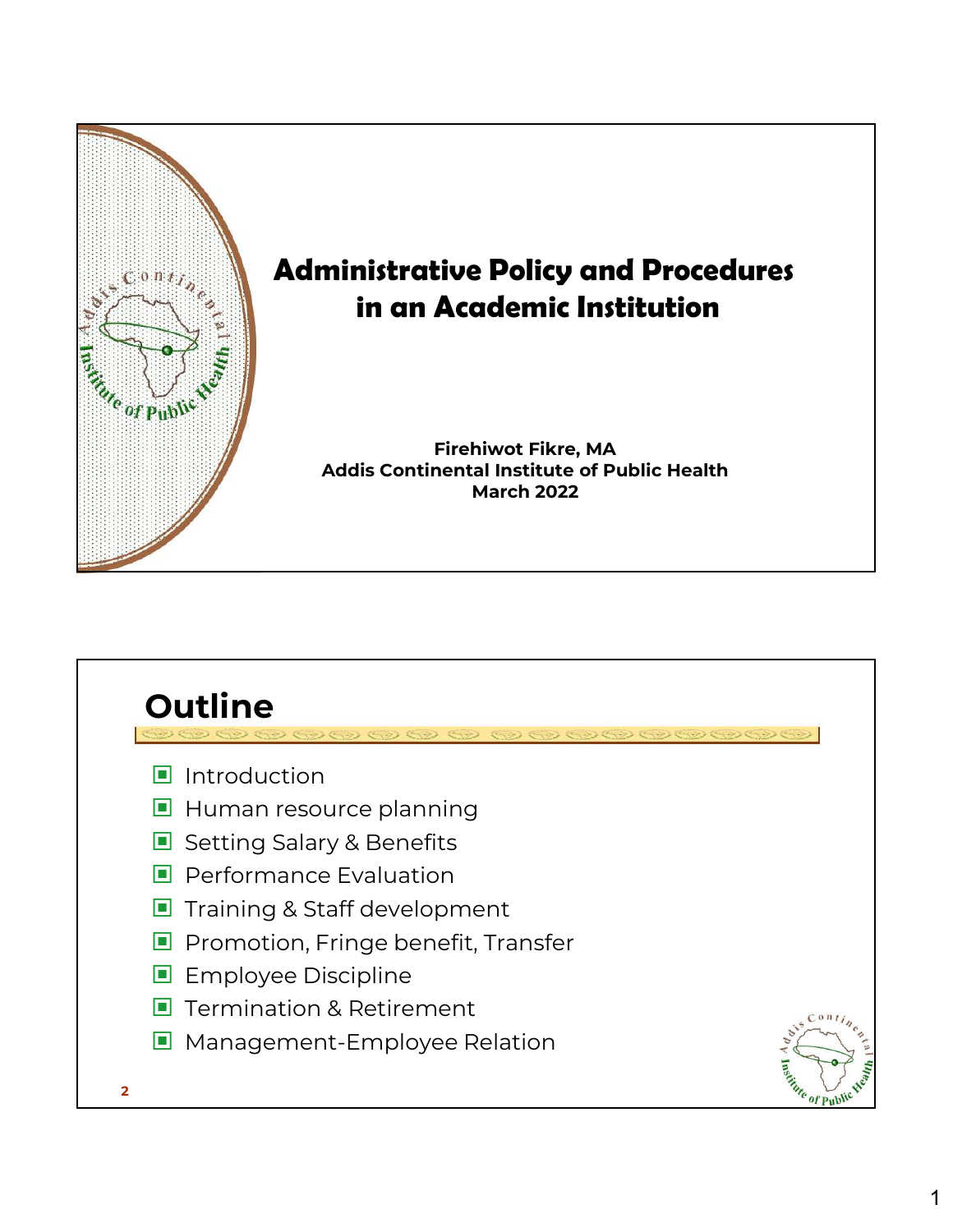

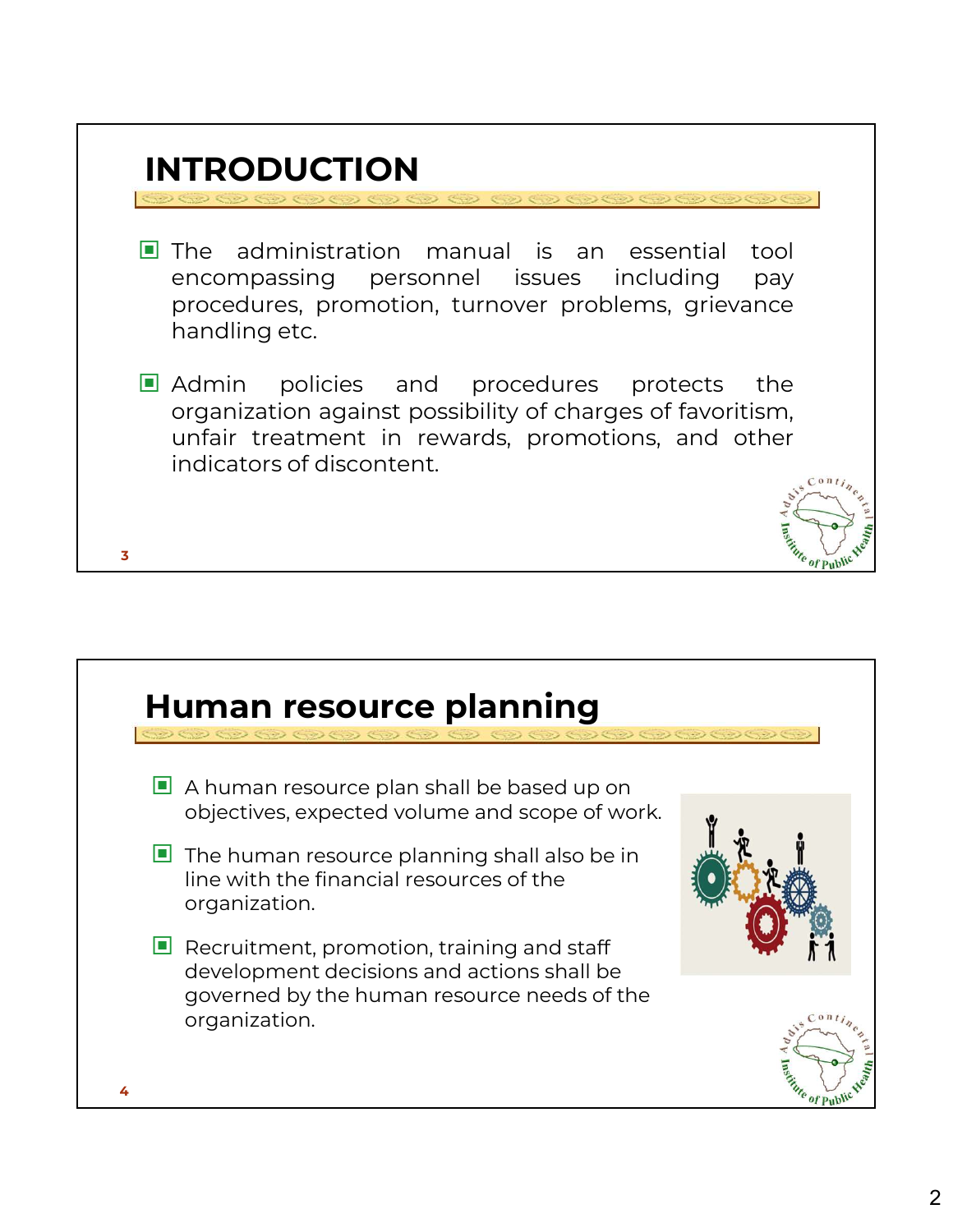

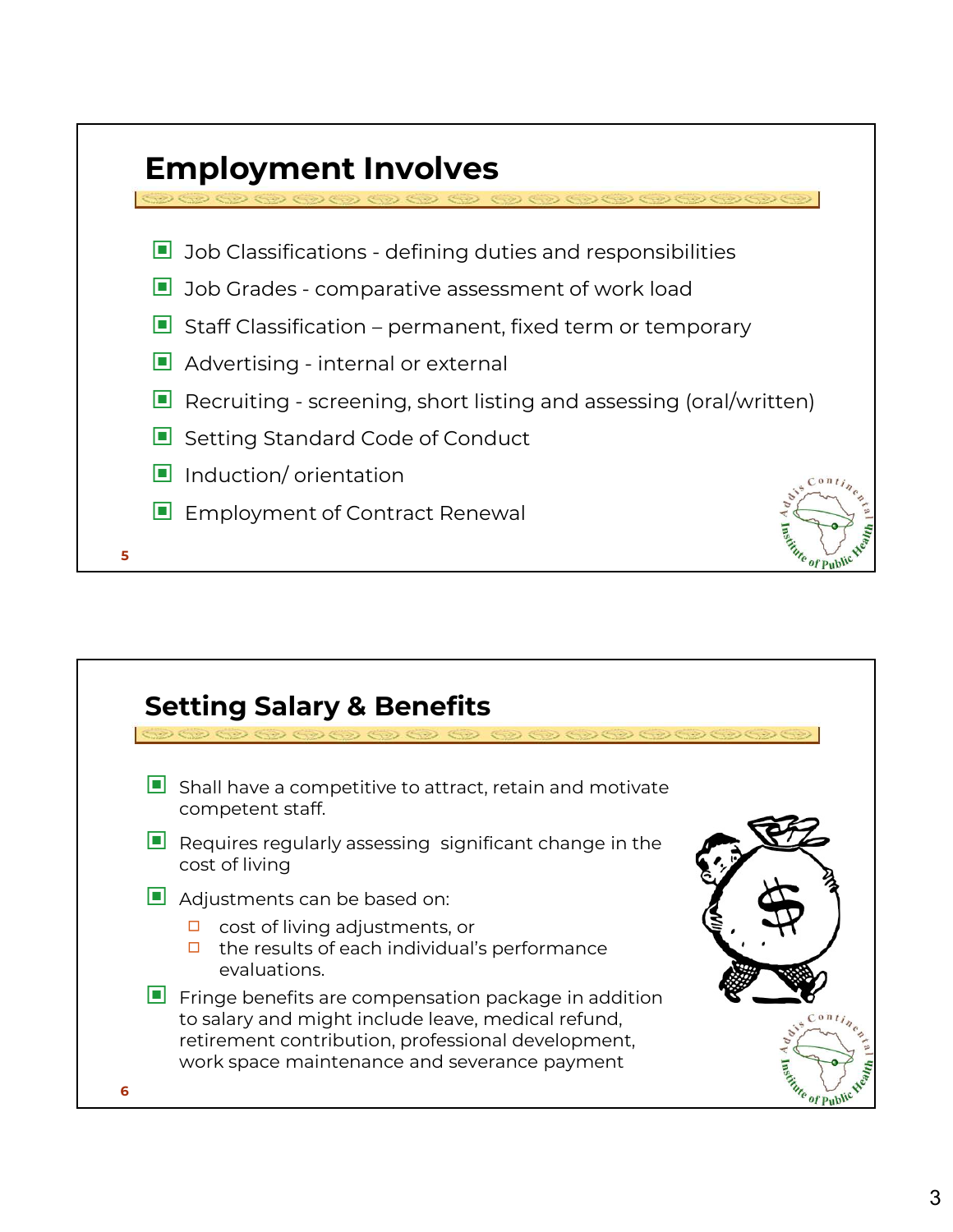

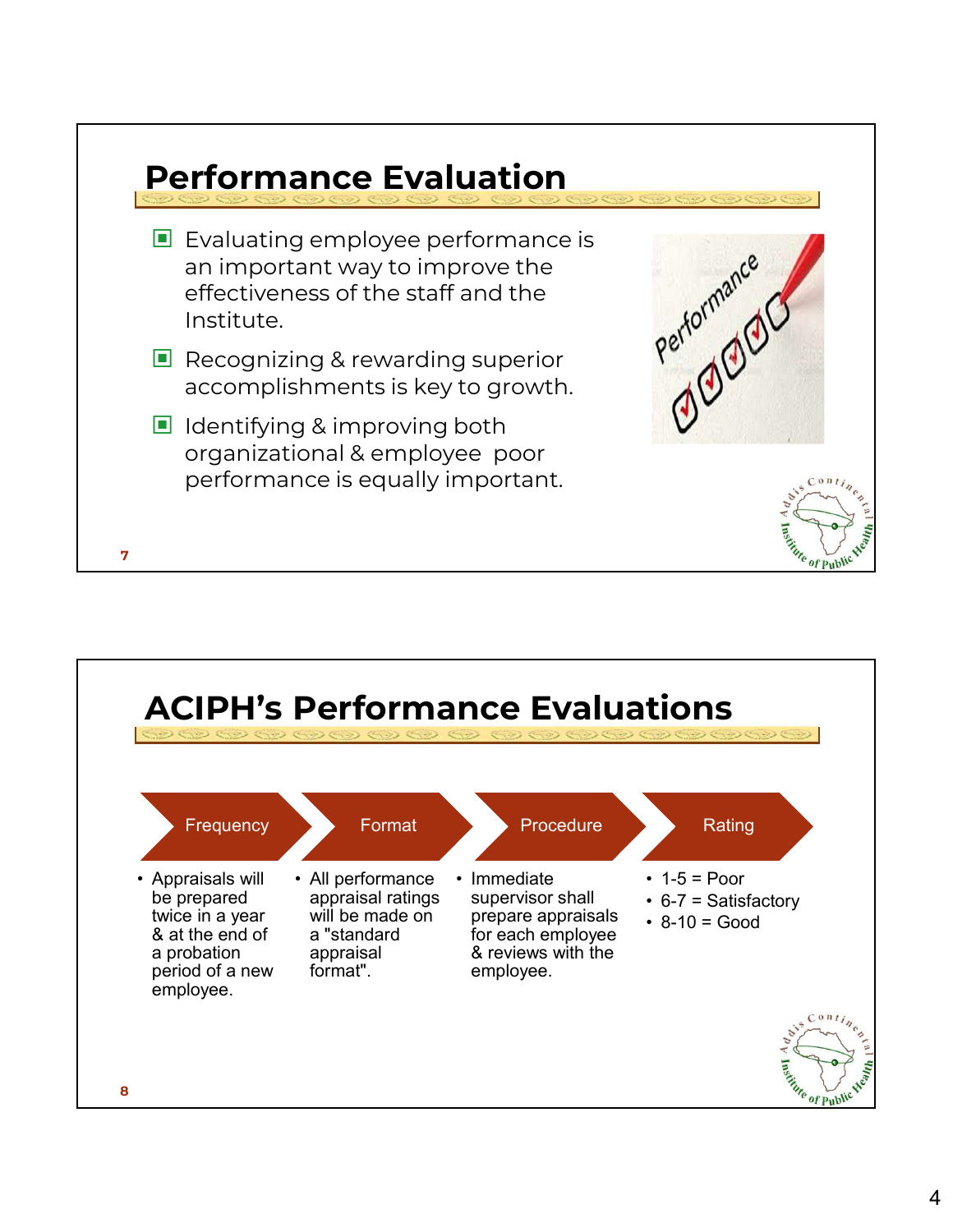| $\blacksquare$ Evaluating employee performance is<br>an important way to improve the<br>effectiveness of the staff and the<br>Institute. | Performal. |
|------------------------------------------------------------------------------------------------------------------------------------------|------------|
| $\blacksquare$ Recognizing & rewarding superior<br>accomplishments is key to growth.                                                     |            |
| $\blacksquare$ Identifying & improving both<br>organizational & employee poor<br>performance is equally important.                       |            |

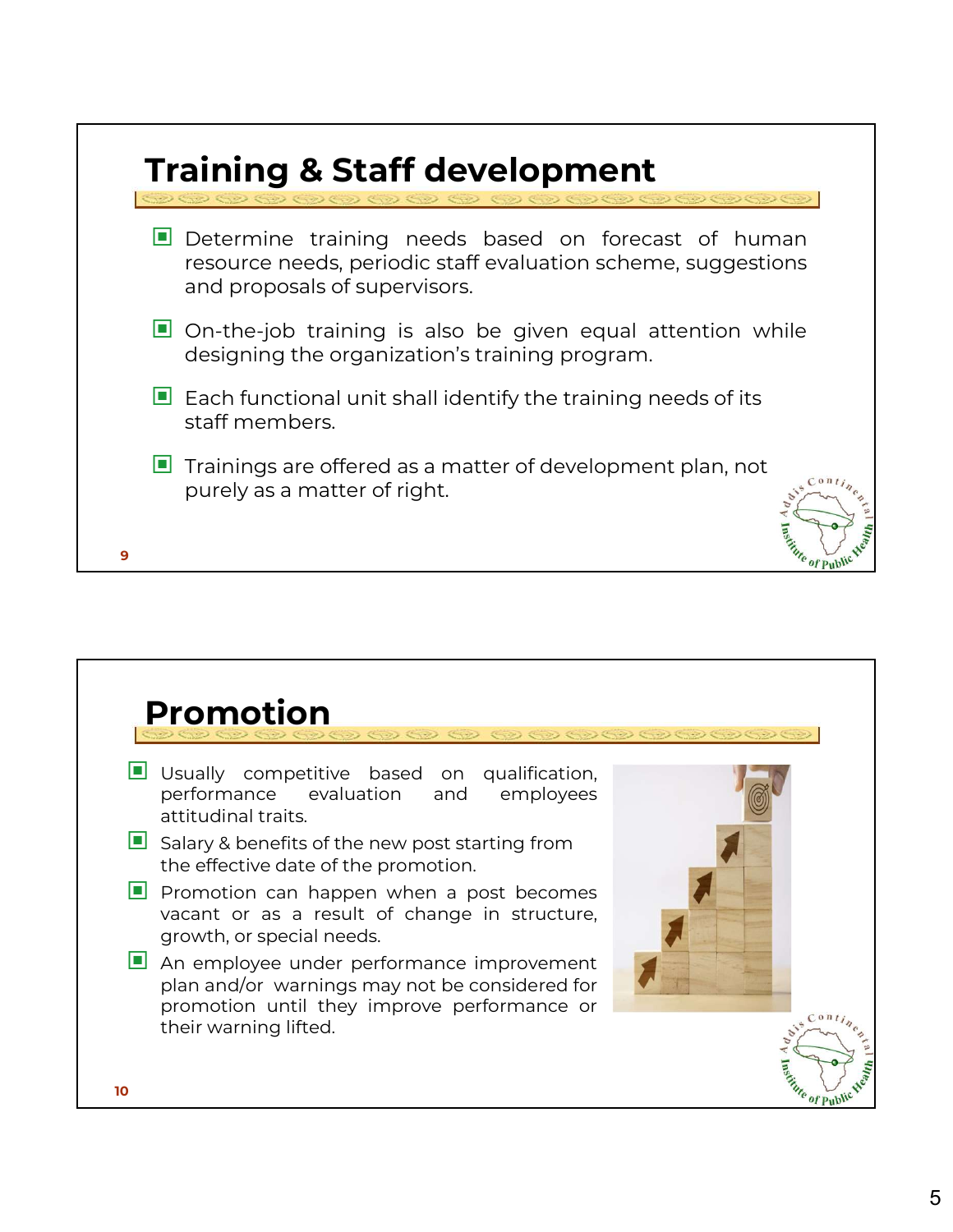

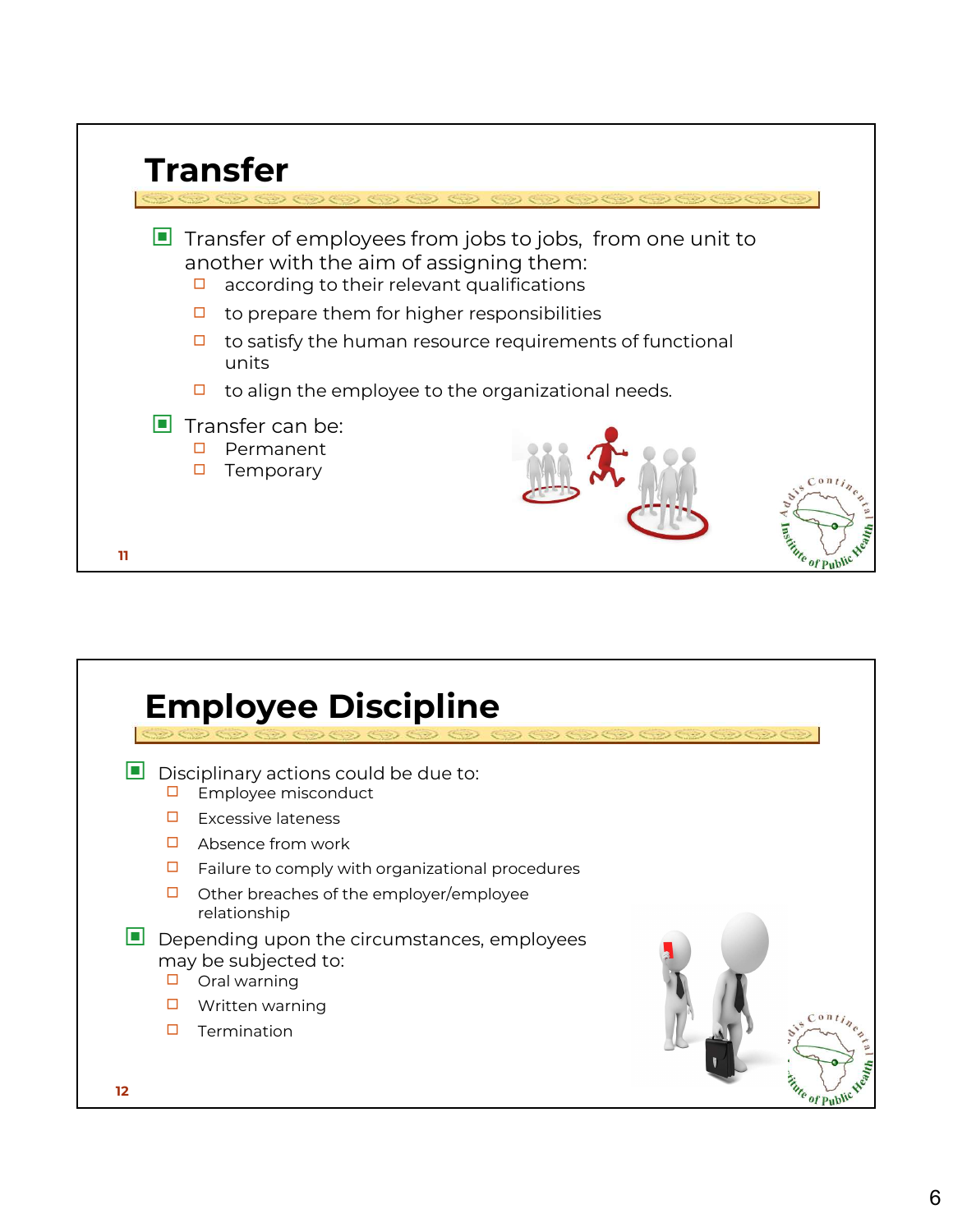| <b>Transfer</b>                                   |                                                                                                                                                           |
|---------------------------------------------------|-----------------------------------------------------------------------------------------------------------------------------------------------------------|
|                                                   | $\mathcal{O}(\mathcal{O})$ and $\mathcal{O}(\mathcal{O})$ and $\mathcal{O}(\mathcal{O})$ and $\mathcal{O}(\mathcal{O})$                                   |
| □                                                 | $\Box$ Transfer of employees from jobs to jobs, from one unit to<br>another with the aim of assigning them:<br>according to their relevant qualifications |
| □                                                 | to prepare them for higher responsibilities                                                                                                               |
| □<br>units                                        | to satisfy the human resource requirements of functional                                                                                                  |
| □                                                 | to align the employee to the organizational needs.                                                                                                        |
| $\Box$ Transfer can be:<br>Permanent<br>Temporary | $C$ on $t$                                                                                                                                                |
| 11                                                | Euro of Public                                                                                                                                            |

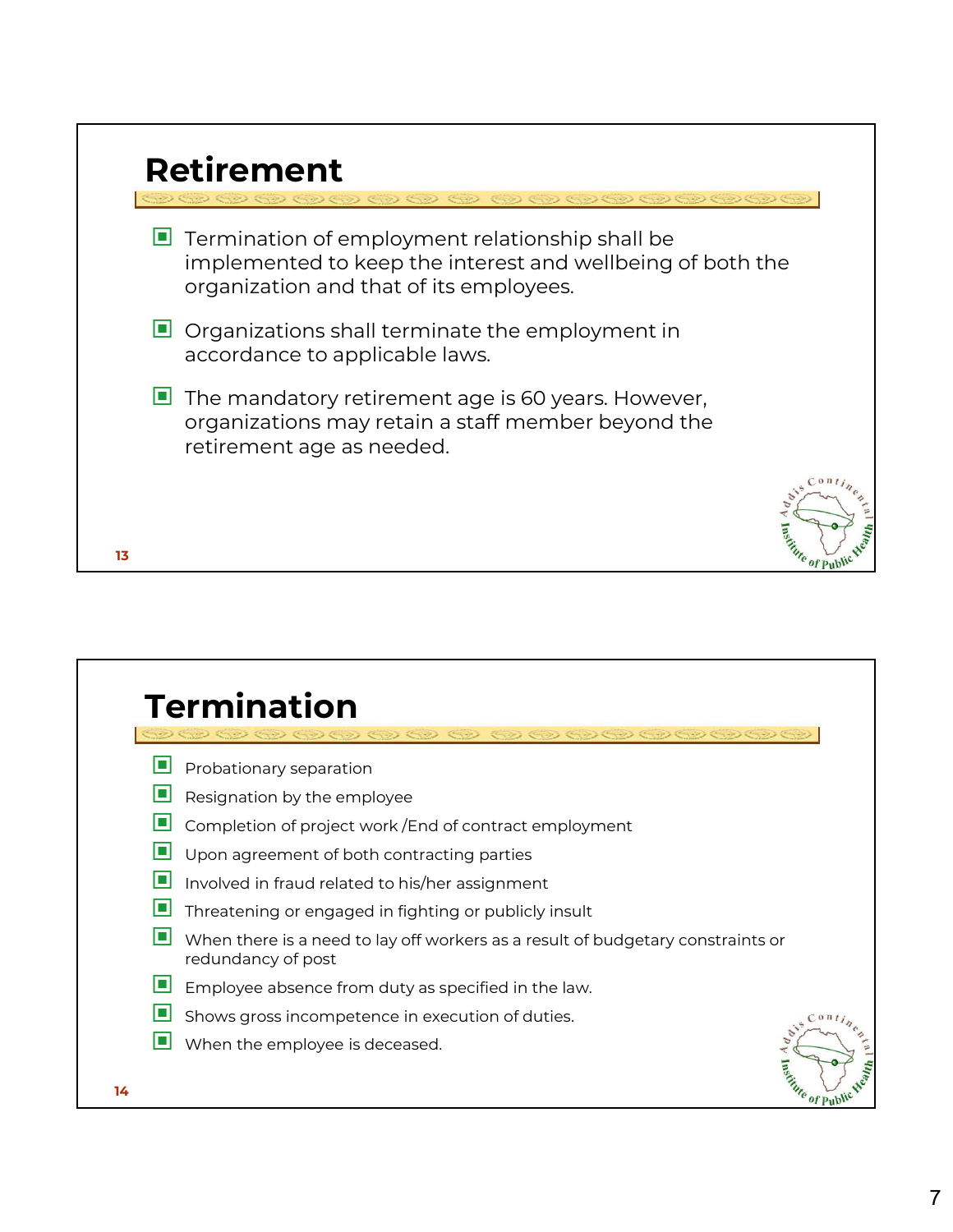|    | <b>Retirement</b>                                                                                                                                                       |
|----|-------------------------------------------------------------------------------------------------------------------------------------------------------------------------|
|    | $\blacksquare$ Termination of employment relationship shall be<br>implemented to keep the interest and wellbeing of both the<br>organization and that of its employees. |
|    | $\Box$ Organizations shall terminate the employment in<br>accordance to applicable laws.                                                                                |
|    | $\blacksquare$ The mandatory retirement age is 60 years. However,<br>organizations may retain a staff member beyond the<br>retirement age as needed.                    |
| 13 | 0 <sub>n</sub><br><b>Fortifie of Pub</b>                                                                                                                                |